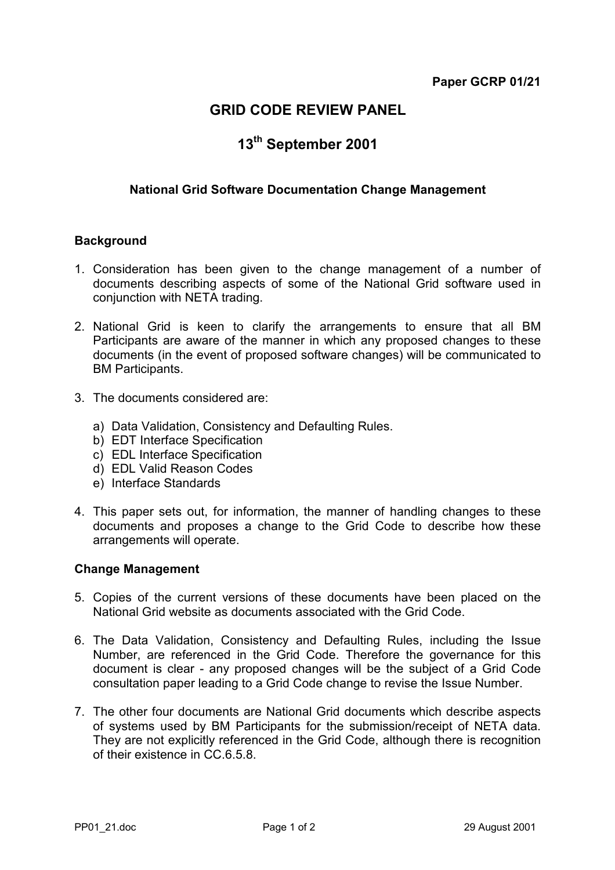# **GRID CODE REVIEW PANEL**

# **13th September 2001**

# **National Grid Software Documentation Change Management**

#### **Background**

- 1. Consideration has been given to the change management of a number of documents describing aspects of some of the National Grid software used in conjunction with NETA trading.
- 2. National Grid is keen to clarify the arrangements to ensure that all BM Participants are aware of the manner in which any proposed changes to these documents (in the event of proposed software changes) will be communicated to BM Participants.
- 3. The documents considered are:
	- a) Data Validation, Consistency and Defaulting Rules.
	- b) EDT Interface Specification
	- c) EDL Interface Specification
	- d) EDL Valid Reason Codes
	- e) Interface Standards
- 4. This paper sets out, for information, the manner of handling changes to these documents and proposes a change to the Grid Code to describe how these arrangements will operate.

#### **Change Management**

- 5. Copies of the current versions of these documents have been placed on the National Grid website as documents associated with the Grid Code.
- 6. The Data Validation, Consistency and Defaulting Rules, including the Issue Number, are referenced in the Grid Code. Therefore the governance for this document is clear - any proposed changes will be the subject of a Grid Code consultation paper leading to a Grid Code change to revise the Issue Number.
- 7. The other four documents are National Grid documents which describe aspects of systems used by BM Participants for the submission/receipt of NETA data. They are not explicitly referenced in the Grid Code, although there is recognition of their existence in CC.6.5.8.